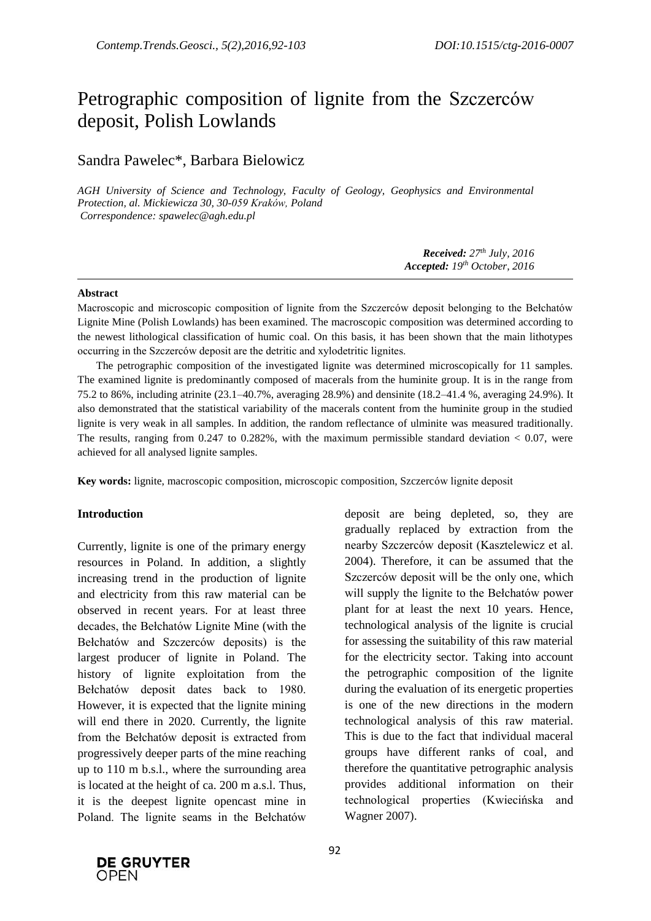# Petrographic composition of lignite from the Szczerców deposit, Polish Lowlands

# Sandra Pawelec\*, Barbara Bielowicz

*AGH University of Science and Technology, Faculty of Geology, Geophysics and Environmental Protection, al. Mickiewicza 30, 30-059 Kraków, Poland Correspondence: spawelec@agh.edu.pl*

> *Received: 27 th July, 2016 Accepted: 19th October, 2016*

#### **Abstract**

Macroscopic and microscopic composition of lignite from the Szczerców deposit belonging to the Bełchatów Lignite Mine (Polish Lowlands) has been examined. The macroscopic composition was determined according to the newest lithological classification of humic coal. On this basis, it has been shown that the main lithotypes occurring in the Szczerców deposit are the detritic and xylodetritic lignites.

The petrographic composition of the investigated lignite was determined microscopically for 11 samples. The examined lignite is predominantly composed of macerals from the huminite group. It is in the range from 75.2 to 86%, including atrinite (23.1–40.7%, averaging 28.9%) and densinite (18.2–41.4 %, averaging 24.9%). It also demonstrated that the statistical variability of the macerals content from the huminite group in the studied lignite is very weak in all samples. In addition, the random reflectance of ulminite was measured traditionally. The results, ranging from 0.247 to 0.282%, with the maximum permissible standard deviation  $< 0.07$ , were achieved for all analysed lignite samples.

**Key words:** lignite, macroscopic composition, microscopic composition, Szczerców lignite deposit

#### **Introduction**

Currently, lignite is one of the primary energy resources in Poland. In addition, a slightly increasing trend in the production of lignite and electricity from this raw material can be observed in recent years. For at least three decades, the Bełchatów Lignite Mine (with the Bełchatów and Szczerców deposits) is the largest producer of lignite in Poland. The history of lignite exploitation from the Bełchatów deposit dates back to 1980. However, it is expected that the lignite mining will end there in 2020. Currently, the lignite from the Bełchatów deposit is extracted from progressively deeper parts of the mine reaching up to 110 m b.s.l., where the surrounding area is located at the height of ca. 200 m a.s.l. Thus, it is the deepest lignite opencast mine in Poland. The lignite seams in the Bełchatów deposit are being depleted, so, they are gradually replaced by extraction from the nearby Szczerców deposit (Kasztelewicz et al. 2004). Therefore, it can be assumed that the Szczerców deposit will be the only one, which will supply the lignite to the Bełchatów power plant for at least the next 10 years. Hence, technological analysis of the lignite is crucial for assessing the suitability of this raw material for the electricity sector. Taking into account the petrographic composition of the lignite during the evaluation of its energetic properties is one of the new directions in the modern technological analysis of this raw material. This is due to the fact that individual maceral groups have different ranks of coal, and therefore the quantitative petrographic analysis provides additional information on their technological properties (Kwiecińska and Wagner 2007).

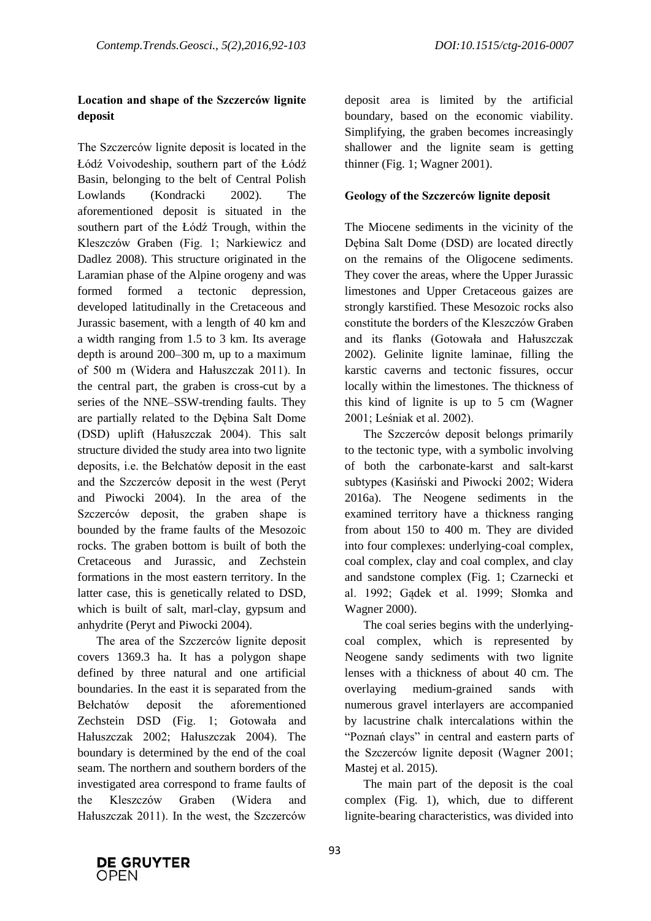## **Location and shape of the Szczerców lignite deposit**

The Szczerców lignite deposit is located in the Łódź Voivodeship, southern part of the Łódź Basin, belonging to the belt of Central Polish Lowlands (Kondracki 2002). The aforementioned deposit is situated in the southern part of the Łódź Trough, within the Kleszczów Graben (Fig. 1; Narkiewicz and Dadlez 2008). This structure originated in the Laramian phase of the Alpine orogeny and was formed formed a tectonic depression, developed latitudinally in the Cretaceous and Jurassic basement, with a length of 40 km and a width ranging from 1.5 to 3 km. Its average depth is around 200–300 m, up to a maximum of 500 m (Widera and Hałuszczak 2011). In the central part, the graben is cross-cut by a series of the NNE–SSW-trending faults. They are partially related to the Dębina Salt Dome (DSD) uplift (Hałuszczak 2004). This salt structure divided the study area into two lignite deposits, i.e. the Bełchatów deposit in the east and the Szczerców deposit in the west (Peryt and Piwocki 2004). In the area of the Szczerców deposit, the graben shape is bounded by the frame faults of the Mesozoic rocks. The graben bottom is built of both the Cretaceous and Jurassic, and Zechstein formations in the most eastern territory. In the latter case, this is genetically related to DSD, which is built of salt, marl-clay, gypsum and anhydrite (Peryt and Piwocki 2004).

The area of the Szczerców lignite deposit covers 1369.3 ha. It has a polygon shape defined by three natural and one artificial boundaries. In the east it is separated from the Bełchatów deposit the aforementioned Zechstein DSD (Fig. 1; Gotowała and Hałuszczak 2002; Hałuszczak 2004). The boundary is determined by the end of the coal seam. The northern and southern borders of the investigated area correspond to frame faults of the Kleszczów Graben (Widera and Hałuszczak 2011). In the west, the Szczerców

deposit area is limited by the artificial boundary, based on the economic viability. Simplifying, the graben becomes increasingly shallower and the lignite seam is getting thinner (Fig. 1; Wagner 2001).

## **Geology of the Szczerców lignite deposit**

The Miocene sediments in the vicinity of the Dębina Salt Dome (DSD) are located directly on the remains of the Oligocene sediments. They cover the areas, where the Upper Jurassic limestones and Upper Cretaceous gaizes are strongly karstified. These Mesozoic rocks also constitute the borders of the Kleszczów Graben and its flanks (Gotowała and Hałuszczak 2002). Gelinite lignite laminae, filling the karstic caverns and tectonic fissures, occur locally within the limestones. The thickness of this kind of lignite is up to 5 cm (Wagner 2001; Leśniak et al. 2002).

The Szczerców deposit belongs primarily to the tectonic type, with a symbolic involving of both the carbonate-karst and salt-karst subtypes (Kasiński and Piwocki 2002; Widera 2016a). The Neogene sediments in the examined territory have a thickness ranging from about 150 to 400 m. They are divided into four complexes: underlying-coal complex, coal complex, clay and coal complex, and clay and sandstone complex (Fig. 1; Czarnecki et al. 1992; Gądek et al. 1999; Słomka and Wagner 2000).

The coal series begins with the underlyingcoal complex, which is represented by Neogene sandy sediments with two lignite lenses with a thickness of about 40 cm. The overlaying medium-grained sands with numerous gravel interlayers are accompanied by lacustrine chalk intercalations within the "Poznań clays" in central and eastern parts of the Szczerców lignite deposit (Wagner 2001; Mastej et al. 2015).

The main part of the deposit is the coal complex (Fig. 1), which, due to different lignite-bearing characteristics, was divided into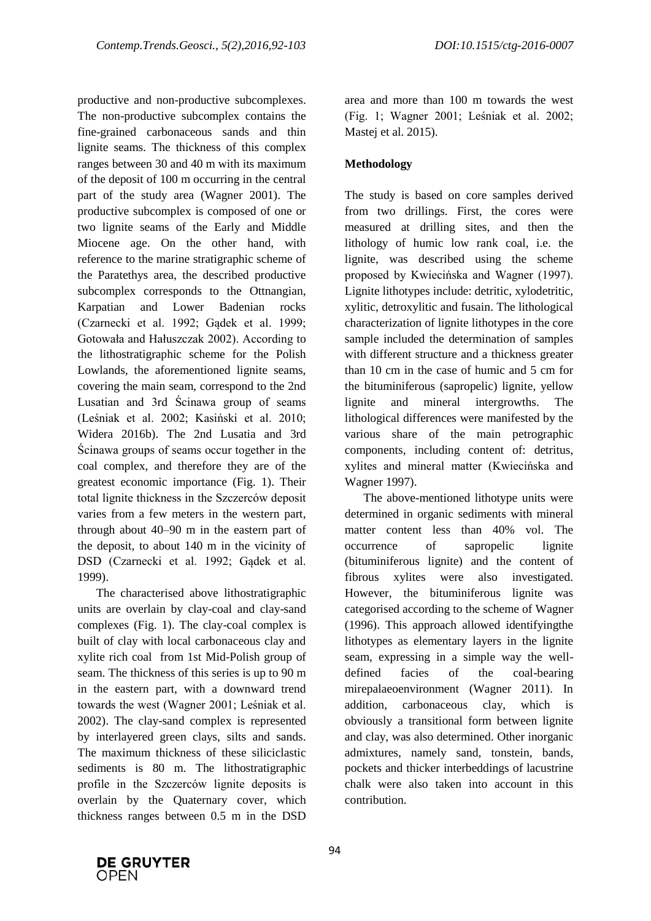productive and non-productive subcomplexes. The non-productive subcomplex contains the fine-grained carbonaceous sands and thin lignite seams. The thickness of this complex ranges between 30 and 40 m with its maximum of the deposit of 100 m occurring in the central part of the study area (Wagner 2001). The productive subcomplex is composed of one or two lignite seams of the Early and Middle Miocene age. On the other hand, with reference to the marine stratigraphic scheme of the Paratethys area, the described productive subcomplex corresponds to the Ottnangian, Karpatian and Lower Badenian rocks (Czarnecki et al. 1992; Gądek et al. 1999; Gotowała and Hałuszczak 2002). According to the lithostratigraphic scheme for the Polish Lowlands, the aforementioned lignite seams, covering the main seam, correspond to the 2nd Lusatian and 3rd Ścinawa group of seams (Leśniak et al. 2002; Kasiński et al. 2010; Widera 2016b). The 2nd Lusatia and 3rd Ścinawa groups of seams occur together in the coal complex, and therefore they are of the greatest economic importance (Fig. 1). Their total lignite thickness in the Szczerców deposit varies from a few meters in the western part, through about 40–90 m in the eastern part of the deposit, to about 140 m in the vicinity of DSD (Czarnecki et al. 1992; Gądek et al. 1999).

The characterised above lithostratigraphic units are overlain by clay-coal and clay-sand complexes (Fig. 1). The clay-coal complex is built of clay with local carbonaceous clay and xylite rich coal from 1st Mid-Polish group of seam. The thickness of this series is up to 90 m in the eastern part, with a downward trend towards the west (Wagner 2001; Leśniak et al. 2002). The clay-sand complex is represented by interlayered green clays, silts and sands. The maximum thickness of these siliciclastic sediments is 80 m. The lithostratigraphic profile in the Szczerców lignite deposits is overlain by the Quaternary cover, which thickness ranges between 0.5 m in the DSD area and more than 100 m towards the west (Fig. 1; Wagner 2001; Leśniak et al. 2002; Mastej et al. 2015).

## **Methodology**

The study is based on core samples derived from two drillings. First, the cores were measured at drilling sites, and then the lithology of humic low rank coal, i.e. the lignite, was described using the scheme proposed by Kwiecińska and Wagner (1997). Lignite lithotypes include: detritic, xylodetritic, xylitic, detroxylitic and fusain. The lithological characterization of lignite lithotypes in the core sample included the determination of samples with different structure and a thickness greater than 10 cm in the case of humic and 5 cm for the bituminiferous (sapropelic) lignite, yellow lignite and mineral intergrowths. The lithological differences were manifested by the various share of the main petrographic components, including content of: detritus, xylites and mineral matter (Kwiecińska and Wagner 1997).

The above-mentioned lithotype units were determined in organic sediments with mineral matter content less than 40% vol. The occurrence of sapropelic lignite (bituminiferous lignite) and the content of fibrous xylites were also investigated. However, the bituminiferous lignite was categorised according to the scheme of Wagner (1996). This approach allowed identifyingthe lithotypes as elementary layers in the lignite seam, expressing in a simple way the welldefined facies of the coal-bearing mirepalaeoenvironment (Wagner 2011). In addition, carbonaceous clay, which is obviously a transitional form between lignite and clay, was also determined. Other inorganic admixtures, namely sand, tonstein, bands, pockets and thicker interbeddings of lacustrine chalk were also taken into account in this contribution.

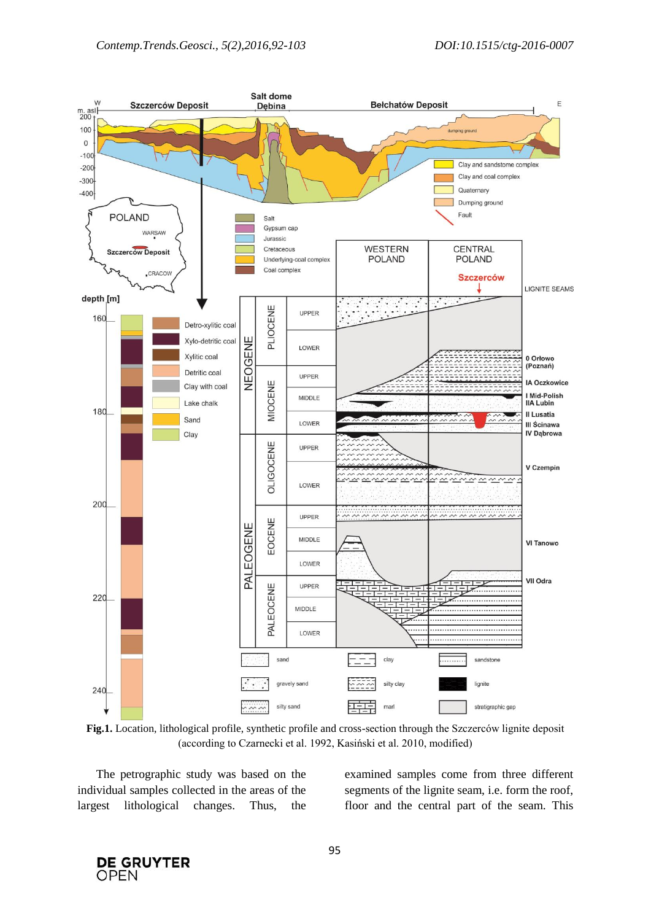

**Fig.1.** Location, lithological profile, synthetic profile and cross-section through the Szczerców lignite deposit (according to Czarnecki et al. 1992, Kasiński et al. 2010, modified)

The petrographic study was based on the individual samples collected in the areas of the largest lithological changes. Thus, the examined samples come from three different segments of the lignite seam, i.e. form the roof, floor and the central part of the seam. This

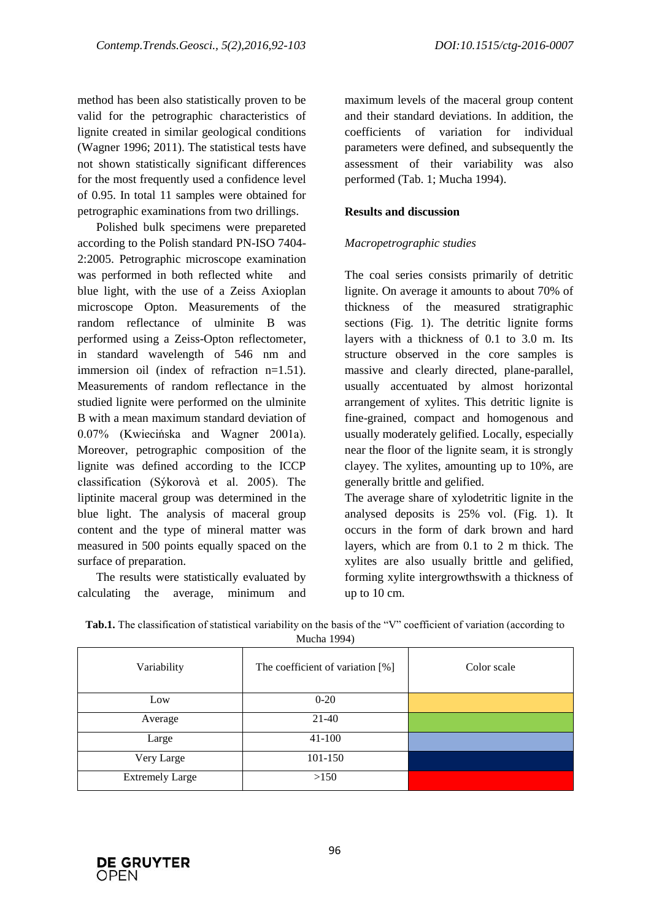method has been also statistically proven to be valid for the petrographic characteristics of lignite created in similar geological conditions (Wagner 1996; 2011). The statistical tests have not shown statistically significant differences for the most frequently used a confidence level of 0.95. In total 11 samples were obtained for petrographic examinations from two drillings.

Polished bulk specimens were prepareted according to the Polish standard PN-ISO 7404- 2:2005. Petrographic microscope examination was performed in both reflected white and blue light, with the use of a Zeiss Axioplan microscope Opton. Measurements of the random reflectance of ulminite B was performed using a Zeiss-Opton reflectometer, in standard wavelength of 546 nm and immersion oil (index of refraction n=1.51). Measurements of random reflectance in the studied lignite were performed on the ulminite B with a mean maximum standard deviation of 0.07% (Kwiecińska and Wagner 2001a). Moreover, petrographic composition of the lignite was defined according to the ICCP classification (Sýkorovà et al. 2005). The liptinite maceral group was determined in the blue light. The analysis of maceral group content and the type of mineral matter was measured in 500 points equally spaced on the surface of preparation.

The results were statistically evaluated by calculating the average, minimum and maximum levels of the maceral group content and their standard deviations. In addition, the coefficients of variation for individual parameters were defined, and subsequently the assessment of their variability was also performed (Tab. 1; Mucha 1994).

## **Results and discussion**

## *Macropetrographic studies*

The coal series consists primarily of detritic lignite. On average it amounts to about 70% of thickness of the measured stratigraphic sections (Fig. 1). The detritic lignite forms layers with a thickness of 0.1 to 3.0 m. Its structure observed in the core samples is massive and clearly directed, plane-parallel, usually accentuated by almost horizontal arrangement of xylites. This detritic lignite is fine-grained, compact and homogenous and usually moderately gelified. Locally, especially near the floor of the lignite seam, it is strongly clayey. The xylites, amounting up to 10%, are generally brittle and gelified.

The average share of xylodetritic lignite in the analysed deposits is 25% vol. (Fig. 1). It occurs in the form of dark brown and hard layers, which are from 0.1 to 2 m thick. The xylites are also usually brittle and gelified, forming xylite intergrowthswith a thickness of up to 10 cm.

| Variability            | The coefficient of variation [%] | Color scale |
|------------------------|----------------------------------|-------------|
| Low                    | $0-20$                           |             |
| Average                | $21-40$                          |             |
| Large                  | $41-100$                         |             |
| Very Large             | 101-150                          |             |
| <b>Extremely Large</b> | >150                             |             |

| Tab.1. The classification of statistical variability on the basis of the "V" coefficient of variation (according to |  |  |  |  |
|---------------------------------------------------------------------------------------------------------------------|--|--|--|--|
|---------------------------------------------------------------------------------------------------------------------|--|--|--|--|

Mucha 1994)

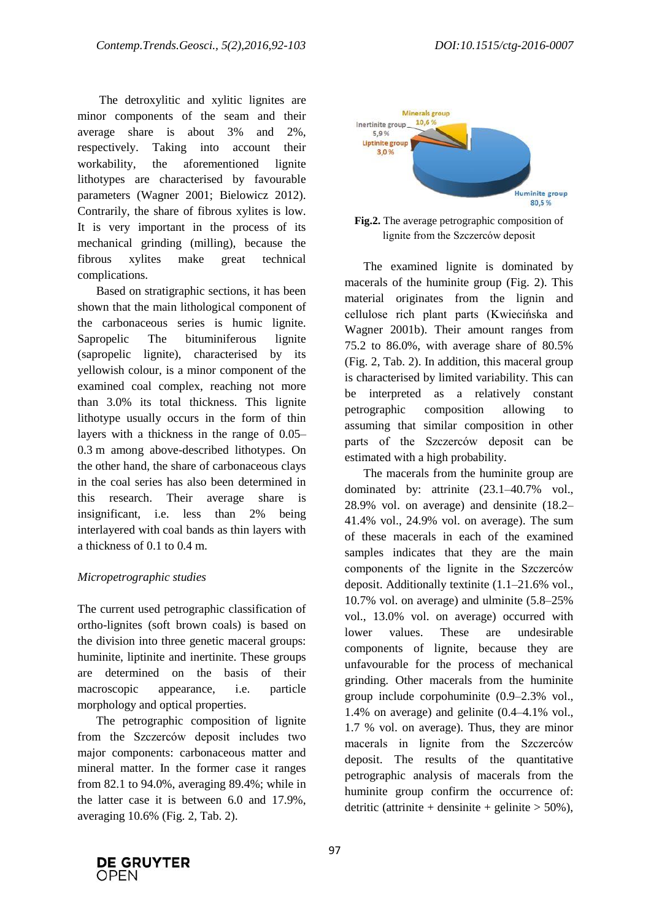The detroxylitic and xylitic lignites are minor components of the seam and their average share is about 3% and 2%, respectively. Taking into account their workability, the aforementioned lignite lithotypes are characterised by favourable parameters (Wagner 2001; Bielowicz 2012). Contrarily, the share of fibrous xylites is low. It is very important in the process of its mechanical grinding (milling), because the fibrous xylites make great technical complications.

Based on stratigraphic sections, it has been shown that the main lithological component of the carbonaceous series is humic lignite. Sapropelic The bituminiferous lignite (sapropelic lignite), characterised by its yellowish colour, is a minor component of the examined coal complex, reaching not more than 3.0% its total thickness. This lignite lithotype usually occurs in the form of thin layers with a thickness in the range of 0.05– 0.3 m among above-described lithotypes. On the other hand, the share of carbonaceous clays in the coal series has also been determined in this research. Their average share is insignificant, i.e. less than 2% being interlayered with coal bands as thin layers with a thickness of 0.1 to 0.4 m.

## *Micropetrographic studies*

The current used petrographic classification of ortho-lignites (soft brown coals) is based on the division into three genetic maceral groups: huminite, liptinite and inertinite. These groups are determined on the basis of their macroscopic appearance, i.e. particle morphology and optical properties.

The petrographic composition of lignite from the Szczerców deposit includes two major components: carbonaceous matter and mineral matter. In the former case it ranges from 82.1 to 94.0%, averaging 89.4%; while in the latter case it is between 6.0 and 17.9%, averaging 10.6% (Fig. 2, Tab. 2).



**Fig.2.** The average petrographic composition of lignite from the Szczerców deposit

The examined lignite is dominated by macerals of the huminite group (Fig. 2). This material originates from the lignin and cellulose rich plant parts (Kwiecińska and Wagner 2001b). Their amount ranges from 75.2 to 86.0%, with average share of 80.5% (Fig. 2, Tab. 2). In addition, this maceral group is characterised by limited variability. This can be interpreted as a relatively constant petrographic composition allowing to assuming that similar composition in other parts of the Szczerców deposit can be estimated with a high probability.

The macerals from the huminite group are dominated by: attrinite (23.1–40.7% vol., 28.9% vol. on average) and densinite (18.2– 41.4% vol., 24.9% vol. on average). The sum of these macerals in each of the examined samples indicates that they are the main components of the lignite in the Szczerców deposit. Additionally textinite (1.1–21.6% vol., 10.7% vol. on average) and ulminite (5.8–25% vol., 13.0% vol. on average) occurred with lower values. These are undesirable components of lignite, because they are unfavourable for the process of mechanical grinding. Other macerals from the huminite group include corpohuminite (0.9–2.3% vol., 1.4% on average) and gelinite (0.4–4.1% vol., 1.7 % vol. on average). Thus, they are minor macerals in lignite from the Szczerców deposit. The results of the quantitative petrographic analysis of macerals from the huminite group confirm the occurrence of: detritic (attrinite + densinite + gelinite  $> 50\%$ ),

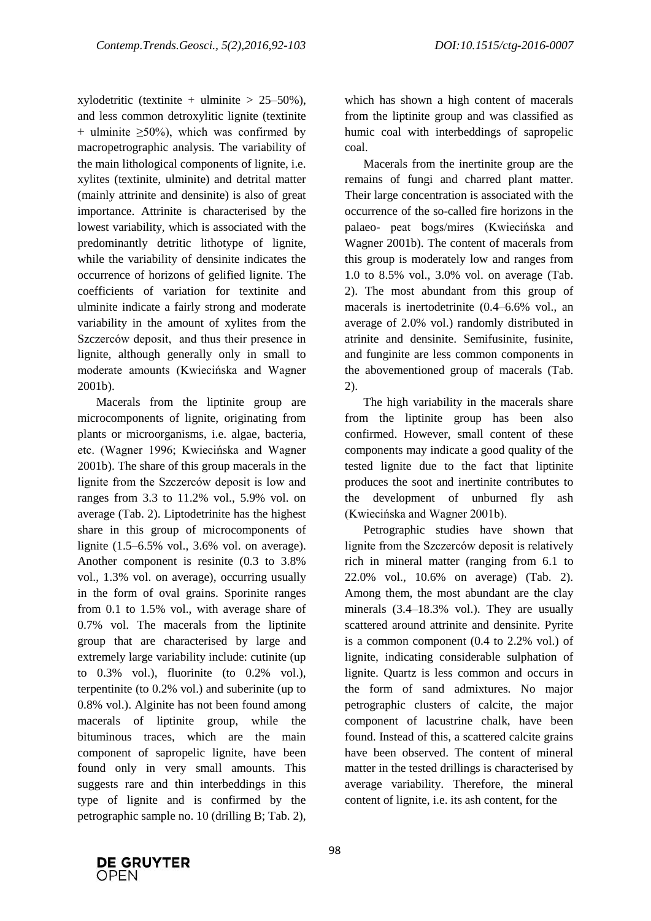xylodetritic (textinite + ulminite >  $25-50\%$ ), and less common detroxylitic lignite (textinite + ulminite  $\geq 50\%$ ), which was confirmed by macropetrographic analysis. The variability of the main lithological components of lignite, i.e. xylites (textinite, ulminite) and detrital matter (mainly attrinite and densinite) is also of great importance. Attrinite is characterised by the lowest variability, which is associated with the predominantly detritic lithotype of lignite, while the variability of densinite indicates the occurrence of horizons of gelified lignite. The coefficients of variation for textinite and ulminite indicate a fairly strong and moderate variability in the amount of xylites from the Szczerców deposit, and thus their presence in lignite, although generally only in small to moderate amounts (Kwiecińska and Wagner 2001b).

Macerals from the liptinite group are microcomponents of lignite, originating from plants or microorganisms, i.e. algae, bacteria, etc. (Wagner 1996; Kwiecińska and Wagner 2001b). The share of this group macerals in the lignite from the Szczerców deposit is low and ranges from 3.3 to 11.2% vol., 5.9% vol. on average (Tab. 2). Liptodetrinite has the highest share in this group of microcomponents of lignite (1.5–6.5% vol., 3.6% vol. on average). Another component is resinite (0.3 to 3.8% vol., 1.3% vol. on average), occurring usually in the form of oval grains. Sporinite ranges from 0.1 to 1.5% vol., with average share of 0.7% vol. The macerals from the liptinite group that are characterised by large and extremely large variability include: cutinite (up to 0.3% vol.), fluorinite (to 0.2% vol.), terpentinite (to 0.2% vol.) and suberinite (up to 0.8% vol.). Alginite has not been found among macerals of liptinite group, while the bituminous traces, which are the main component of sapropelic lignite, have been found only in very small amounts. This suggests rare and thin interbeddings in this type of lignite and is confirmed by the petrographic sample no. 10 (drilling B; Tab. 2),

which has shown a high content of macerals from the liptinite group and was classified as humic coal with interbeddings of sapropelic coal.

Macerals from the inertinite group are the remains of fungi and charred plant matter. Their large concentration is associated with the occurrence of the so-called fire horizons in the palaeo- peat bogs/mires (Kwiecińska and Wagner 2001b). The content of macerals from this group is moderately low and ranges from 1.0 to 8.5% vol., 3.0% vol. on average (Tab. 2). The most abundant from this group of macerals is inertodetrinite (0.4–6.6% vol., an average of 2.0% vol.) randomly distributed in atrinite and densinite. Semifusinite, fusinite, and funginite are less common components in the abovementioned group of macerals (Tab. 2).

The high variability in the macerals share from the liptinite group has been also confirmed. However, small content of these components may indicate a good quality of the tested lignite due to the fact that liptinite produces the soot and inertinite contributes to the development of unburned fly ash (Kwiecińska and Wagner 2001b).

Petrographic studies have shown that lignite from the Szczerców deposit is relatively rich in mineral matter (ranging from 6.1 to 22.0% vol., 10.6% on average) (Tab. 2). Among them, the most abundant are the clay minerals (3.4–18.3% vol.). They are usually scattered around attrinite and densinite. Pyrite is a common component (0.4 to 2.2% vol.) of lignite, indicating considerable sulphation of lignite. Quartz is less common and occurs in the form of sand admixtures. No major petrographic clusters of calcite, the major component of lacustrine chalk, have been found. Instead of this, a scattered calcite grains have been observed. The content of mineral matter in the tested drillings is characterised by average variability. Therefore, the mineral content of lignite, i.e. its ash content, for the

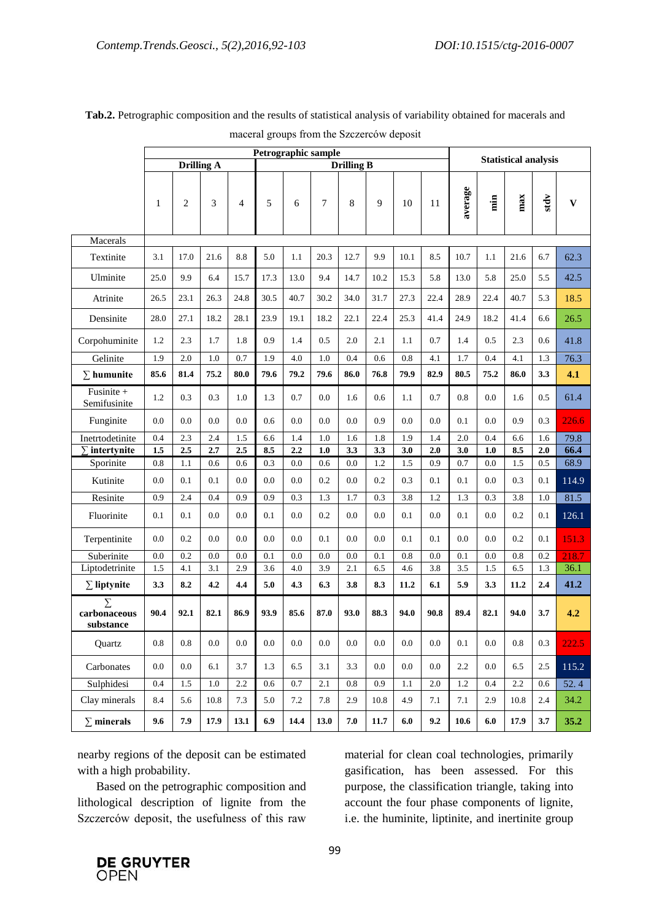|                                     | Petrographic sample |                   |         |                |                   |         |                  |         |         |                    |                             |            |         |                  |         |              |
|-------------------------------------|---------------------|-------------------|---------|----------------|-------------------|---------|------------------|---------|---------|--------------------|-----------------------------|------------|---------|------------------|---------|--------------|
|                                     |                     | <b>Drilling A</b> |         |                | <b>Drilling B</b> |         |                  |         |         |                    | <b>Statistical analysis</b> |            |         |                  |         |              |
|                                     | 1                   | $\mathbf{2}$      | 3       | $\overline{4}$ | 5                 | 6       | 7                | 8       | 9       | 10                 | 11                          | average    | min     | max              | stdv    | $\mathbf{V}$ |
| Macerals                            |                     |                   |         |                |                   |         |                  |         |         |                    |                             |            |         |                  |         |              |
| Textinite                           | 3.1                 | 17.0              | 21.6    | 8.8            | 5.0               | 1.1     | 20.3             | 12.7    | 9.9     | 10.1               | 8.5                         | 10.7       | 1.1     | 21.6             | 6.7     | 62.3         |
| Ulminite                            | 25.0                | 9.9               | 6.4     | 15.7           | 17.3              | 13.0    | 9.4              | 14.7    | 10.2    | 15.3               | 5.8                         | 13.0       | 5.8     | 25.0             | 5.5     | 42.5         |
| Atrinite                            | 26.5                | 23.1              | 26.3    | 24.8           | 30.5              | 40.7    | 30.2             | 34.0    | 31.7    | 27.3               | 22.4                        | 28.9       | 22.4    | 40.7             | 5.3     | 18.5         |
| Densinite                           | 28.0                | 27.1              | 18.2    | 28.1           | 23.9              | 19.1    | 18.2             | 22.1    | 22.4    | 25.3               | 41.4                        | 24.9       | 18.2    | 41.4             | 6.6     | 26.5         |
| Corpohuminite                       | $1.2\,$             | 2.3               | 1.7     | 1.8            | 0.9               | 1.4     | 0.5              | $2.0\,$ | 2.1     | $1.1\,$            | $0.7\,$                     | 1.4        | $0.5\,$ | 2.3              | 0.6     | 41.8         |
| Gelinite                            | 1.9                 | $2.0\,$           | $1.0\,$ | 0.7            | 1.9               | $4.0\,$ | $1.0\,$          | 0.4     | $0.6\,$ | $\rm 0.8$          | 4.1                         | 1.7        | 0.4     | 4.1              | 1.3     | 76.3         |
| $\Sigma$ humunite                   | 85.6                | 81.4              | 75.2    | 80.0           | 79.6              | 79.2    | 79.6             | 86.0    | 76.8    | 79.9               | 82.9                        | 80.5       | 75.2    | 86.0             | 3.3     | 4.1          |
| Fusinite +<br>Semifusinite          | $1.2\,$             | 0.3               | 0.3     | $1.0\,$        | 1.3               | 0.7     | $0.0\,$          | 1.6     | $0.6\,$ | 1.1                | $0.7\,$                     | $0.8\,$    | $0.0\,$ | 1.6              | $0.5\,$ | 61.4         |
| Funginite                           | $0.0\,$             | $0.0\,$           | 0.0     | $0.0\,$        | 0.6               | $0.0\,$ | 0.0              | 0.0     | 0.9     | 0.0                | 0.0                         | 0.1        | 0.0     | 0.9              | 0.3     | 226.6        |
| Inetrtodetinite                     | 0.4                 | 2.3               | 2.4     | 1.5            | 6.6               | 1.4     | 1.0              | 1.6     | 1.8     | 1.9                | 1.4                         | 2.0        | 0.4     | 6.6              | 1.6     | 79.8         |
| $\Sigma$ intertynite                | 1.5                 | 2.5               | 2.7     | 2.5            | 8.5               | 2.2     | 1.0              | 3.3     | 3.3     | 3.0                | 2.0                         | 3.0        | $1.0$   | 8.5              | 2.0     | 66.4         |
| Sporinite                           | $0.8\,$             | 1.1               | 0.6     | 0.6            | 0.3               | 0.0     | 0.6              | 0.0     | 1.2     | 1.5                | 0.9                         | 0.7        | 0.0     | 1.5              | 0.5     | 68.9         |
| Kutinite                            | 0.0                 | 0.1               | 0.1     | $0.0\,$        | 0.0               | 0.0     | 0.2              | 0.0     | 0.2     | 0.3                | 0.1                         | 0.1        | 0.0     | 0.3              | 0.1     | 114.9        |
| Resinite                            | 0.9                 | 2.4               | 0.4     | 0.9            | 0.9               | 0.3     | 1.3              | 1.7     | 0.3     | 3.8                | 1.2                         | 1.3        | 0.3     | 3.8              | 1.0     | 81.5         |
| Fluorinite                          | 0.1                 | 0.1               | $0.0\,$ | $0.0\,$        | 0.1               | $0.0\,$ | 0.2              | 0.0     | $0.0\,$ | 0.1                | $0.0\,$                     | $0.1\,$    | $0.0\,$ | 0.2              | 0.1     | 126.1        |
| Terpentinite                        | $0.0\,$             | 0.2               | $0.0\,$ | $0.0\,$        | $0.0\,$           | 0.0     | 0.1              | 0.0     | $0.0\,$ | 0.1                | 0.1                         | 0.0        | 0.0     | 0.2              | 0.1     | 151.3        |
| Suberinite                          | 0.0                 | 0.2               | $0.0\,$ | 0.0            | 0.1               | 0.0     | 0.0              | 0.0     | 0.1     | 0.8                | 0.0                         | 0.1        | 0.0     | $0.8\,$          | 0.2     | 218.7        |
| Liptodetrinite                      | 1.5                 | 4.1               | 3.1     | 2.9            | 3.6               | 4.0     | 3.9              | 2.1     | 6.5     | 4.6                | 3.8                         | 3.5        | 1.5     | 6.5              | 1.3     | 36.1         |
| $\Sigma$ liptynite                  | 3.3                 | 8.2               | 4.2     | 4.4            | 5.0               | 4.3     | 6.3              | 3.8     | 8.3     | 11.2               | 6.1                         | 5.9        | 3.3     | 11.2             | $2.4\,$ | 41.2         |
| $\sum$<br>carbonaceous<br>substance | 90.4                | 92.1              | 82.1    | 86.9           | 93.9              | 85.6    | 87.0             | 93.0    | 88.3    | 94.0               | 90.8                        | 89.4       | 82.1    | 94.0             | 3.7     | 4.2          |
| Quartz                              | $0.8\,$             | 0.8               | $0.0\,$ | $0.0\,$        | $0.0\,$           | $0.0\,$ | $0.0\,$          | $0.0\,$ | $0.0\,$ | $0.0\,$            | $0.0\,$                     | 0.1        | $0.0\,$ | $0.8\,$          | 0.3     | 222.5        |
| Carbonates                          | $0.0\,$             | $0.0\,$           | 6.1     | 3.7            | 1.3               | 6.5     | 3.1              | 3.3     | 0.0     | $0.0\,$            | 0.0                         | 2.2        | 0.0     | 6.5              | 2.5     | 115.2        |
| Sulphidesi                          | 0.4                 | $\overline{1.5}$  | $1.0\,$ | 2.2            | 0.6               | 0.7     | $\overline{2.1}$ | 0.8     | 0.9     | 1.1                | 2.0                         | 1.2        | 0.4     | $\overline{2.2}$ | 0.6     | 52.4         |
| Clay minerals                       | 8.4                 | 5.6               | 10.8    | $7.3\,$        | 5.0               | $7.2\,$ | 7.8              | 2.9     | 10.8    | 4.9                | 7.1                         | 7.1        | 2.9     | 10.8             | 2.4     | 34.2         |
| $\Sigma$ minerals                   | 9.6                 | 7.9               | 17.9    | 13.1           | 6.9               | 14.4    | 13.0             | $7.0$   | 11.7    | $\boldsymbol{6.0}$ | 9.2                         | $\bf 10.6$ | 6.0     | 17.9             | 3.7     | 35.2         |

# **Tab.2.** Petrographic composition and the results of statistical analysis of variability obtained for macerals and maceral groups from the Szczerców deposit

nearby regions of the deposit can be estimated with a high probability.

Based on the petrographic composition and lithological description of lignite from the Szczerców deposit, the usefulness of this raw material for clean coal technologies, primarily gasification, has been assessed. For this purpose, the classification triangle, taking into account the four phase components of lignite, i.e. the huminite, liptinite, and inertinite group

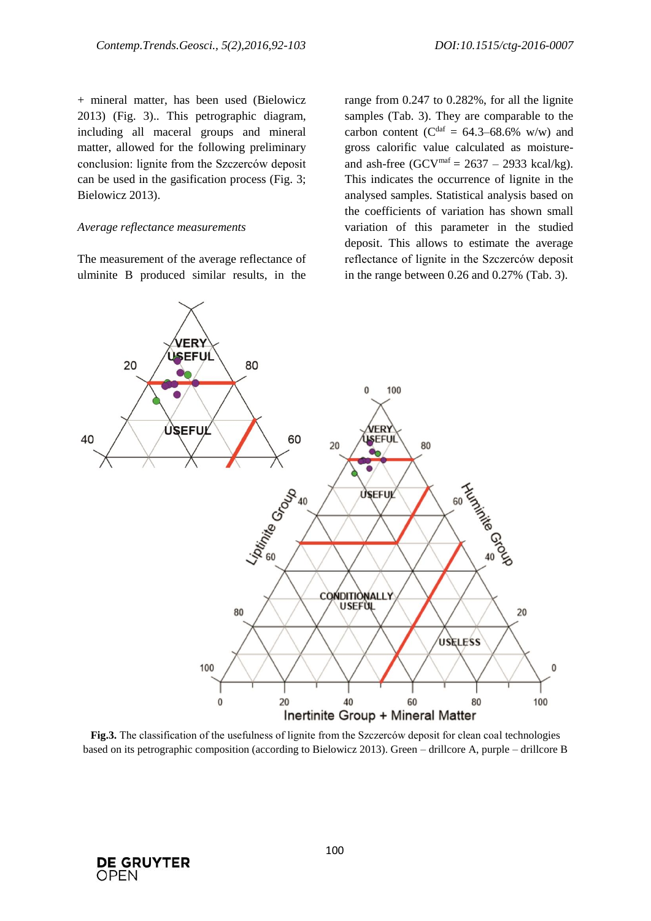+ mineral matter, has been used (Bielowicz 2013) (Fig. 3).. This petrographic diagram, including all maceral groups and mineral matter, allowed for the following preliminary conclusion: lignite from the Szczerców deposit can be used in the gasification process (Fig. 3; Bielowicz 2013).

#### *Average reflectance measurements*

The measurement of the average reflectance of ulminite B produced similar results, in the

range from 0.247 to 0.282%, for all the lignite samples (Tab. 3). They are comparable to the carbon content ( $C^{daf} = 64.3{\text -}68.6\%$  w/w) and gross calorific value calculated as moistureand ash-free  $(GCV<sup>maf</sup> = 2637 - 2933$  kcal/kg). This indicates the occurrence of lignite in the analysed samples. Statistical analysis based on the coefficients of variation has shown small variation of this parameter in the studied deposit. This allows to estimate the average reflectance of lignite in the Szczerców deposit in the range between 0.26 and 0.27% (Tab. 3).



**Fig.3.** The classification of the usefulness of lignite from the Szczerców deposit for clean coal technologies based on its petrographic composition (according to Bielowicz 2013). Green – drillcore A, purple – drillcore B

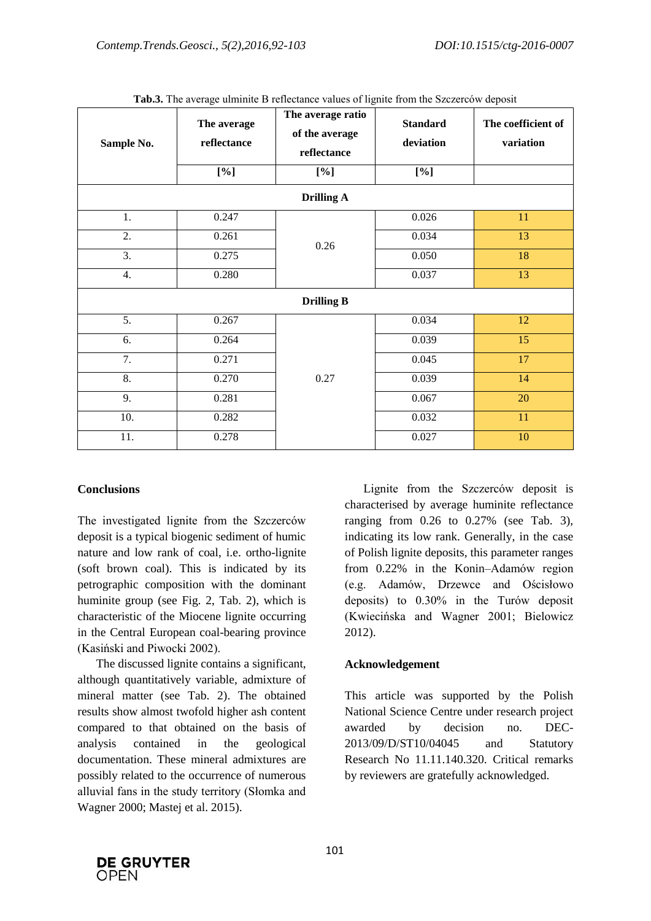| Sample No.        | The average<br>reflectance | The average ratio<br>of the average<br>reflectance | <b>Standard</b><br>deviation | The coefficient of<br>variation |  |  |  |  |  |  |
|-------------------|----------------------------|----------------------------------------------------|------------------------------|---------------------------------|--|--|--|--|--|--|
|                   | [%]                        | [%]                                                | [%]                          |                                 |  |  |  |  |  |  |
| <b>Drilling A</b> |                            |                                                    |                              |                                 |  |  |  |  |  |  |
| 1.                | 0.247                      |                                                    | 0.026                        | 11                              |  |  |  |  |  |  |
| 2.                | 0.261                      | 0.26                                               | 0.034                        | 13                              |  |  |  |  |  |  |
| $\overline{3}$ .  | 0.275                      |                                                    | 0.050                        | 18                              |  |  |  |  |  |  |
| $\overline{4}$ .  | 0.280                      |                                                    | 0.037                        | 13                              |  |  |  |  |  |  |
| <b>Drilling B</b> |                            |                                                    |                              |                                 |  |  |  |  |  |  |
| $\overline{5}$ .  | 0.267                      |                                                    | 0.034                        | 12                              |  |  |  |  |  |  |
| 6.                | 0.264                      |                                                    | 0.039                        | 15                              |  |  |  |  |  |  |
| 7.                | 0.271                      |                                                    | 0.045                        | 17                              |  |  |  |  |  |  |
| 8.                | 0.270                      | 0.27                                               | 0.039                        | 14                              |  |  |  |  |  |  |
| 9.                | 0.281                      |                                                    | 0.067                        | 20                              |  |  |  |  |  |  |
| 10.               | 0.282                      |                                                    | 0.032                        | 11                              |  |  |  |  |  |  |
| $\overline{11}$ . | 0.278                      |                                                    | 0.027                        | 10                              |  |  |  |  |  |  |

**Tab.3.** The average ulminite B reflectance values of lignite from the Szczerców deposit

#### **Conclusions**

The investigated lignite from the Szczerców deposit is a typical biogenic sediment of humic nature and low rank of coal, i.e. ortho-lignite (soft brown coal). This is indicated by its petrographic composition with the dominant huminite group (see Fig. 2, Tab. 2), which is characteristic of the Miocene lignite occurring in the Central European coal-bearing province (Kasiński and Piwocki 2002).

The discussed lignite contains a significant, although quantitatively variable, admixture of mineral matter (see Tab. 2). The obtained results show almost twofold higher ash content compared to that obtained on the basis of analysis contained in the geological documentation. These mineral admixtures are possibly related to the occurrence of numerous alluvial fans in the study territory (Słomka and Wagner 2000; Mastej et al. 2015).

Lignite from the Szczerców deposit is characterised by average huminite reflectance ranging from  $0.26$  to  $0.27\%$  (see Tab. 3), indicating its low rank. Generally, in the case of Polish lignite deposits, this parameter ranges from 0.22% in the Konin–Adamów region (e.g. Adamów, Drzewce and Ościsłowo deposits) to 0.30% in the Turów deposit (Kwiecińska and Wagner 2001; Bielowicz 2012).

#### **Acknowledgement**

This article was supported by the Polish National Science Centre under research project awarded by decision no. DEC-2013/09/D/ST10/04045 and Statutory Research No 11.11.140.320. Critical remarks by reviewers are gratefully acknowledged.

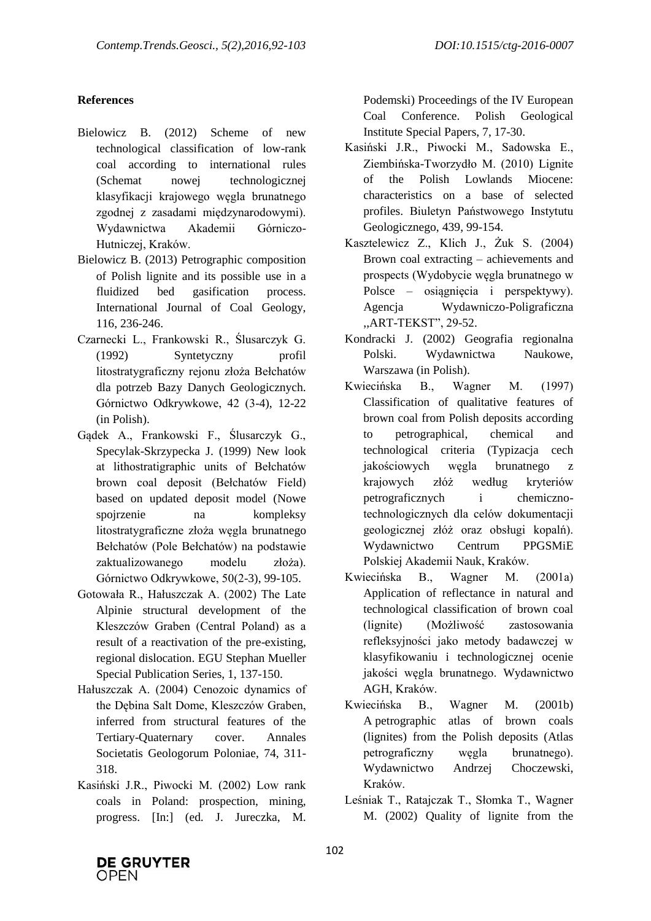## **References**

- Bielowicz B. (2012) Scheme of new technological classification of low-rank coal according to international rules (Schemat nowej technologicznej klasyfikacji krajowego węgla brunatnego zgodnej z zasadami międzynarodowymi). Wydawnictwa Akademii Górniczo-Hutniczej, Kraków.
- Bielowicz B. (2013) Petrographic composition of Polish lignite and its possible use in a fluidized bed gasification process. International Journal of Coal Geology, 116, 236-246.
- Czarnecki L., Frankowski R., Ślusarczyk G. (1992) Syntetyczny profil litostratygraficzny rejonu złoża Bełchatów dla potrzeb Bazy Danych Geologicznych. Górnictwo Odkrywkowe, 42 (3-4), 12-22 (in Polish).
- Gądek A., Frankowski F., Ślusarczyk G., Specylak-Skrzypecka J. (1999) New look at lithostratigraphic units of Bełchatów brown coal deposit (Bełchatów Field) based on updated deposit model (Nowe spojrzenie na kompleksy litostratygraficzne złoża węgla brunatnego Bełchatów (Pole Bełchatów) na podstawie zaktualizowanego modelu złoża). Górnictwo Odkrywkowe, 50(2-3), 99-105.
- Gotowała R., Hałuszczak A. (2002) The Late Alpinie structural development of the Kleszczów Graben (Central Poland) as a result of a reactivation of the pre-existing, regional dislocation. EGU Stephan Mueller Special Publication Series, 1, 137-150.
- Hałuszczak A. (2004) Cenozoic dynamics of the Dębina Salt Dome, Kleszczów Graben, inferred from structural features of the Tertiary-Quaternary cover. Annales Societatis Geologorum Poloniae, 74, 311- 318.
- Kasiński J.R., Piwocki M. (2002) Low rank coals in Poland: prospection, mining, progress. [In:] (ed. J. Jureczka, M.

Podemski) Proceedings of the IV European Coal Conference. Polish Geological Institute Special Papers, 7, 17-30.

- Kasiński J.R., Piwocki M., Sadowska E., Ziembińska-Tworzydło M. (2010) Lignite of the Polish Lowlands Miocene: characteristics on a base of selected profiles. Biuletyn Państwowego Instytutu Geologicznego, 439, 99-154.
- Kasztelewicz Z., Klich J., Żuk S. (2004) Brown coal extracting – achievements and prospects (Wydobycie węgla brunatnego w Polsce – osiągnięcia i perspektywy). Agencja Wydawniczo-Poligraficzna ,,ART-TEKST", 29-52.
- Kondracki J. (2002) Geografia regionalna Polski. Wydawnictwa Naukowe, Warszawa (in Polish).
- Kwiecińska B., Wagner M. (1997) Classification of qualitative features of brown coal from Polish deposits according to petrographical, chemical and technological criteria (Typizacja cech jakościowych węgla brunatnego z krajowych złóż według kryteriów petrograficznych i chemicznotechnologicznych dla celów dokumentacji geologicznej złóż oraz obsługi kopalń). Wydawnictwo Centrum PPGSMiE Polskiej Akademii Nauk, Kraków.
- Kwiecińska B., Wagner M. (2001a) Application of reflectance in natural and technological classification of brown coal (lignite) (Możliwość zastosowania refleksyjności jako metody badawczej w klasyfikowaniu i technologicznej ocenie jakości węgla brunatnego. Wydawnictwo AGH, Kraków.
- Kwiecińska B., Wagner M. (2001b) A petrographic atlas of brown coals (lignites) from the Polish deposits (Atlas petrograficzny węgla brunatnego). Wydawnictwo Andrzej Choczewski, Kraków.
- Leśniak T., Ratajczak T., Słomka T., Wagner M. (2002) Quality of lignite from the